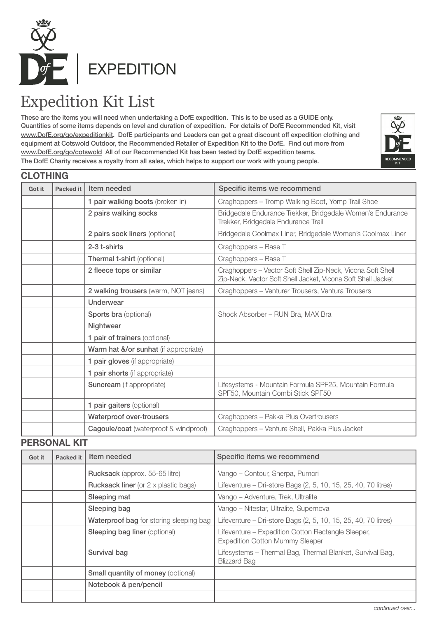

# Expedition Kit List

These are the items you will need when undertaking a DofE expedition. This is to be used as a GUIDE only. Quantities of some items depends on level and duration of expedition. For details of DofE Recommended Kit, visit www.DofE.org/go/expeditionkit. DofE participants and Leaders can get a great discount off expedition clothing and equipment at Cotswold Outdoor, the Recommended Retailer of Expedition Kit to the DofE. Find out more from www.DofE.org/go/cotswold All of our Recommended Kit has been tested by DofE expedition teams. The DofE Charity receives a royalty from all sales, which helps to support our work with young people.



### **CLOTHING**

| Got it | <b>Packed it</b> | Item needed                           | Specific items we recommend                                                                                                 |
|--------|------------------|---------------------------------------|-----------------------------------------------------------------------------------------------------------------------------|
|        |                  | 1 pair walking boots (broken in)      | Craghoppers - Tromp Walking Boot, Yomp Trail Shoe                                                                           |
|        |                  | 2 pairs walking socks                 | Bridgedale Endurance Trekker, Bridgedale Women's Endurance<br>Trekker, Bridgedale Endurance Trail                           |
|        |                  | 2 pairs sock liners (optional)        | Bridgedale Coolmax Liner, Bridgedale Women's Coolmax Liner                                                                  |
|        |                  | 2-3 t-shirts                          | Craghoppers - Base T                                                                                                        |
|        |                  | Thermal t-shirt (optional)            | Craghoppers - Base T                                                                                                        |
|        |                  | 2 fleece tops or similar              | Craghoppers - Vector Soft Shell Zip-Neck, Vicona Soft Shell<br>Zip-Neck, Vector Soft Shell Jacket, Vicona Soft Shell Jacket |
|        |                  | 2 walking trousers (warm, NOT jeans)  | Craghoppers - Venturer Trousers, Ventura Trousers                                                                           |
|        |                  | Underwear                             |                                                                                                                             |
|        |                  | <b>Sports bra (optional)</b>          | Shock Absorber - RUN Bra, MAX Bra                                                                                           |
|        |                  | Nightwear                             |                                                                                                                             |
|        |                  | 1 pair of trainers (optional)         |                                                                                                                             |
|        |                  | Warm hat &/or sunhat (if appropriate) |                                                                                                                             |
|        |                  | 1 pair gloves (if appropriate)        |                                                                                                                             |
|        |                  | 1 pair shorts (if appropriate)        |                                                                                                                             |
|        |                  | <b>Suncream</b> (if appropriate)      | Lifesystems - Mountain Formula SPF25, Mountain Formula<br>SPF50, Mountain Combi Stick SPF50                                 |
|        |                  | 1 pair gaiters (optional)             |                                                                                                                             |
|        |                  | Waterproof over-trousers              | Craghoppers - Pakka Plus Overtrousers                                                                                       |
|        |                  | Cagoule/coat (waterproof & windproof) | Craghoppers - Venture Shell, Pakka Plus Jacket                                                                              |

#### **PERSONAL KIT**

| Got it | Packed it | Item needed                                 | Specific items we recommend                                                                  |
|--------|-----------|---------------------------------------------|----------------------------------------------------------------------------------------------|
|        |           | Rucksack (approx. 55-65 litre)              | Vango - Contour, Sherpa, Pumori                                                              |
|        |           | <b>Rucksack liner</b> (or 2 x plastic bags) | Lifeventure - Dri-store Bags (2, 5, 10, 15, 25, 40, 70 litres)                               |
|        |           | Sleeping mat                                | Vango – Adventure, Trek, Ultralite                                                           |
|        |           | Sleeping bag                                | Vango - Nitestar, Ultralite, Supernova                                                       |
|        |           | Waterproof bag for storing sleeping bag     | Lifeventure - Dri-store Bags (2, 5, 10, 15, 25, 40, 70 litres)                               |
|        |           | <b>Sleeping bag liner (optional)</b>        | Lifeventure – Expedition Cotton Rectangle Sleeper,<br><b>Expedition Cotton Mummy Sleeper</b> |
|        |           | Survival bag                                | Lifesystems - Thermal Bag, Thermal Blanket, Survival Bag,<br><b>Blizzard Bag</b>             |
|        |           | <b>Small quantity of money (optional)</b>   |                                                                                              |
|        |           | Notebook & pen/pencil                       |                                                                                              |
|        |           |                                             |                                                                                              |